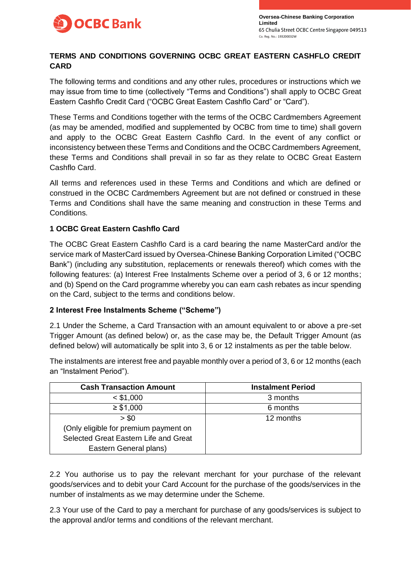

# **TERMS AND CONDITIONS GOVERNING OCBC GREAT EASTERN CASHFLO CREDIT CARD**

The following terms and conditions and any other rules, procedures or instructions which we may issue from time to time (collectively "Terms and Conditions") shall apply to OCBC Great Eastern Cashflo Credit Card ("OCBC Great Eastern Cashflo Card" or "Card").

These Terms and Conditions together with the terms of the OCBC Cardmembers Agreement (as may be amended, modified and supplemented by OCBC from time to time) shall govern and apply to the OCBC Great Eastern Cashflo Card. In the event of any conflict or inconsistency between these Terms and Conditions and the OCBC Cardmembers Agreement, these Terms and Conditions shall prevail in so far as they relate to OCBC Great Eastern Cashflo Card.

All terms and references used in these Terms and Conditions and which are defined or construed in the OCBC Cardmembers Agreement but are not defined or construed in these Terms and Conditions shall have the same meaning and construction in these Terms and Conditions.

# **1 OCBC Great Eastern Cashflo Card**

The OCBC Great Eastern Cashflo Card is a card bearing the name MasterCard and/or the service mark of MasterCard issued by Oversea-Chinese Banking Corporation Limited ("OCBC Bank") (including any substitution, replacements or renewals thereof) which comes with the following features: (a) Interest Free Instalments Scheme over a period of 3, 6 or 12 months; and (b) Spend on the Card programme whereby you can earn cash rebates as incur spending on the Card, subject to the terms and conditions below.

### **2 Interest Free Instalments Scheme ("Scheme")**

2.1 Under the Scheme, a Card Transaction with an amount equivalent to or above a pre-set Trigger Amount (as defined below) or, as the case may be, the Default Trigger Amount (as defined below) will automatically be split into 3, 6 or 12 instalments as per the table below.

The instalments are interest free and payable monthly over a period of 3, 6 or 12 months (each an "Instalment Period").

| <b>Cash Transaction Amount</b>        | <b>Instalment Period</b> |
|---------------------------------------|--------------------------|
| $<$ \$1,000                           | 3 months                 |
| $\geq$ \$1,000                        | 6 months                 |
| > \$0                                 | 12 months                |
| (Only eligible for premium payment on |                          |
| Selected Great Eastern Life and Great |                          |
| Eastern General plans)                |                          |

2.2 You authorise us to pay the relevant merchant for your purchase of the relevant goods/services and to debit your Card Account for the purchase of the goods/services in the number of instalments as we may determine under the Scheme.

2.3 Your use of the Card to pay a merchant for purchase of any goods/services is subject to the approval and/or terms and conditions of the relevant merchant.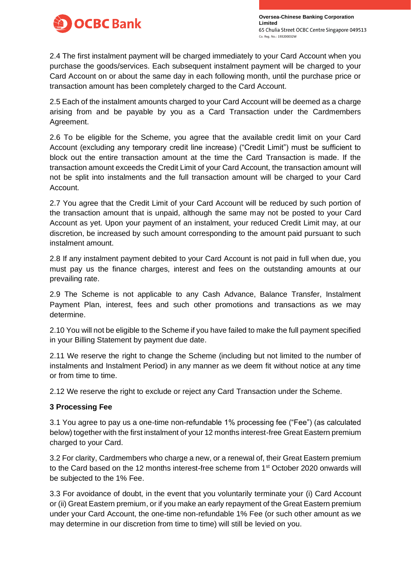

**Oversea-Chinese Banking Corporation Limited** Co. Reg. No.: 193200032W

2.4 The first instalment payment will be charged immediately to your Card Account when you purchase the goods/services. Each subsequent instalment payment will be charged to your Card Account on or about the same day in each following month, until the purchase price or transaction amount has been completely charged to the Card Account.

2.5 Each of the instalment amounts charged to your Card Account will be deemed as a charge arising from and be payable by you as a Card Transaction under the Cardmembers Agreement.

2.6 To be eligible for the Scheme, you agree that the available credit limit on your Card Account (excluding any temporary credit line increase) ("Credit Limit") must be sufficient to block out the entire transaction amount at the time the Card Transaction is made. If the transaction amount exceeds the Credit Limit of your Card Account, the transaction amount will not be split into instalments and the full transaction amount will be charged to your Card Account.

2.7 You agree that the Credit Limit of your Card Account will be reduced by such portion of the transaction amount that is unpaid, although the same may not be posted to your Card Account as yet. Upon your payment of an instalment, your reduced Credit Limit may, at our discretion, be increased by such amount corresponding to the amount paid pursuant to such instalment amount.

2.8 If any instalment payment debited to your Card Account is not paid in full when due, you must pay us the finance charges, interest and fees on the outstanding amounts at our prevailing rate.

2.9 The Scheme is not applicable to any Cash Advance, Balance Transfer, Instalment Payment Plan, interest, fees and such other promotions and transactions as we may determine.

2.10 You will not be eligible to the Scheme if you have failed to make the full payment specified in your Billing Statement by payment due date.

2.11 We reserve the right to change the Scheme (including but not limited to the number of instalments and Instalment Period) in any manner as we deem fit without notice at any time or from time to time.

2.12 We reserve the right to exclude or reject any Card Transaction under the Scheme.

### **3 Processing Fee**

3.1 You agree to pay us a one-time non-refundable 1% processing fee ("Fee") (as calculated below) together with the first instalment of your 12 months interest-free Great Eastern premium charged to your Card.

3.2 For clarity, Cardmembers who charge a new, or a renewal of, their Great Eastern premium to the Card based on the 12 months interest-free scheme from 1<sup>st</sup> October 2020 onwards will be subjected to the 1% Fee.

3.3 For avoidance of doubt, in the event that you voluntarily terminate your (i) Card Account or (ii) Great Eastern premium, or if you make an early repayment of the Great Eastern premium under your Card Account, the one-time non-refundable 1% Fee (or such other amount as we may determine in our discretion from time to time) will still be levied on you.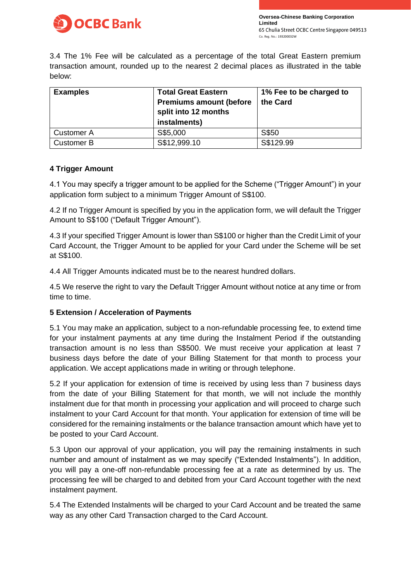

3.4 The 1% Fee will be calculated as a percentage of the total Great Eastern premium transaction amount, rounded up to the nearest 2 decimal places as illustrated in the table below:

| <b>Examples</b>   | <b>Total Great Eastern</b><br><b>Premiums amount (before</b><br>split into 12 months<br>instalments) | 1% Fee to be charged to<br>the Card |
|-------------------|------------------------------------------------------------------------------------------------------|-------------------------------------|
| <b>Customer A</b> | S\$5,000                                                                                             | S\$50                               |
| <b>Customer B</b> | S\$12,999.10                                                                                         | S\$129.99                           |

### **4 Trigger Amount**

4.1 You may specify a trigger amount to be applied for the Scheme ("Trigger Amount") in your application form subject to a minimum Trigger Amount of S\$100.

4.2 If no Trigger Amount is specified by you in the application form, we will default the Trigger Amount to S\$100 ("Default Trigger Amount").

4.3 If your specified Trigger Amount is lower than S\$100 or higher than the Credit Limit of your Card Account, the Trigger Amount to be applied for your Card under the Scheme will be set at S\$100.

4.4 All Trigger Amounts indicated must be to the nearest hundred dollars.

4.5 We reserve the right to vary the Default Trigger Amount without notice at any time or from time to time.

### **5 Extension / Acceleration of Payments**

5.1 You may make an application, subject to a non-refundable processing fee, to extend time for your instalment payments at any time during the Instalment Period if the outstanding transaction amount is no less than S\$500. We must receive your application at least 7 business days before the date of your Billing Statement for that month to process your application. We accept applications made in writing or through telephone.

5.2 If your application for extension of time is received by using less than 7 business days from the date of your Billing Statement for that month, we will not include the monthly instalment due for that month in processing your application and will proceed to charge such instalment to your Card Account for that month. Your application for extension of time will be considered for the remaining instalments or the balance transaction amount which have yet to be posted to your Card Account.

5.3 Upon our approval of your application, you will pay the remaining instalments in such number and amount of instalment as we may specify ("Extended Instalments"). In addition, you will pay a one-off non-refundable processing fee at a rate as determined by us. The processing fee will be charged to and debited from your Card Account together with the next instalment payment.

5.4 The Extended Instalments will be charged to your Card Account and be treated the same way as any other Card Transaction charged to the Card Account.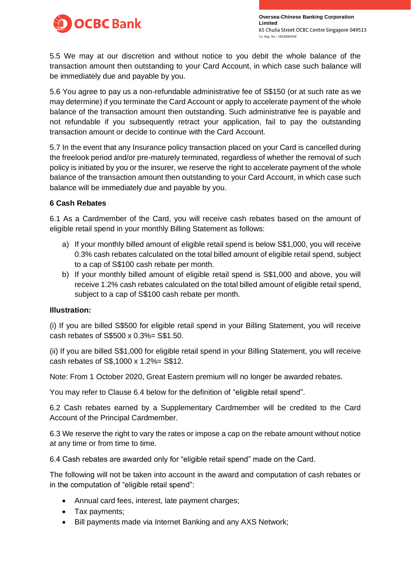

**Oversea-Chinese Banking Corporation Limited** Co. Reg. No.: 193200032W

5.5 We may at our discretion and without notice to you debit the whole balance of the transaction amount then outstanding to your Card Account, in which case such balance will be immediately due and payable by you.

5.6 You agree to pay us a non-refundable administrative fee of S\$150 (or at such rate as we may determine) if you terminate the Card Account or apply to accelerate payment of the whole balance of the transaction amount then outstanding. Such administrative fee is payable and not refundable if you subsequently retract your application, fail to pay the outstanding transaction amount or decide to continue with the Card Account.

5.7 In the event that any Insurance policy transaction placed on your Card is cancelled during the freelook period and/or pre-maturely terminated, regardless of whether the removal of such policy is initiated by you or the insurer, we reserve the right to accelerate payment of the whole balance of the transaction amount then outstanding to your Card Account, in which case such balance will be immediately due and payable by you.

### **6 Cash Rebates**

6.1 As a Cardmember of the Card, you will receive cash rebates based on the amount of eligible retail spend in your monthly Billing Statement as follows:

- a) If your monthly billed amount of eligible retail spend is below S\$1,000, you will receive 0.3% cash rebates calculated on the total billed amount of eligible retail spend, subject to a cap of S\$100 cash rebate per month.
- b) If your monthly billed amount of eligible retail spend is S\$1,000 and above, you will receive 1.2% cash rebates calculated on the total billed amount of eligible retail spend, subject to a cap of S\$100 cash rebate per month.

#### **Illustration:**

(i) If you are billed S\$500 for eligible retail spend in your Billing Statement, you will receive cash rebates of S\$500 x 0.3%= S\$1.50.

(ii) If you are billed S\$1,000 for eligible retail spend in your Billing Statement, you will receive cash rebates of S\$,1000 x 1.2%= S\$12.

Note: From 1 October 2020, Great Eastern premium will no longer be awarded rebates.

You may refer to Clause 6.4 below for the definition of "eligible retail spend".

6.2 Cash rebates earned by a Supplementary Cardmember will be credited to the Card Account of the Principal Cardmember.

6.3 We reserve the right to vary the rates or impose a cap on the rebate amount without notice at any time or from time to time.

6.4 Cash rebates are awarded only for "eligible retail spend" made on the Card.

The following will not be taken into account in the award and computation of cash rebates or in the computation of "eligible retail spend":

- Annual card fees, interest, late payment charges;
- Tax payments;
- Bill payments made via Internet Banking and any AXS Network;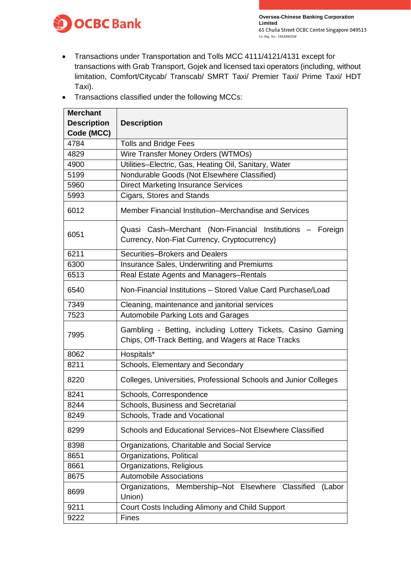

- Transactions under Transportation and Tolls MCC 4111/4121/4131 except for transactions with Grab Transport, Gojek and licensed taxi operators (including, without limitation, Comfort/Citycab/ Transcab/ SMRT Taxi/ Premier Taxi/ Prime Taxi/ HDT Taxi).
- Transactions classified under the following MCCs:

| <b>Merchant</b>    |                                                                                                                     |
|--------------------|---------------------------------------------------------------------------------------------------------------------|
| <b>Description</b> | <b>Description</b>                                                                                                  |
| Code (MCC)         |                                                                                                                     |
| 4784               | <b>Tolls and Bridge Fees</b>                                                                                        |
| 4829               | Wire Transfer Money Orders (WTMOs)                                                                                  |
| 4900               | Utilities-Electric, Gas, Heating Oil, Sanitary, Water                                                               |
| 5199               | Nondurable Goods (Not Elsewhere Classified)                                                                         |
| 5960               | <b>Direct Marketing Insurance Services</b>                                                                          |
| 5993               | Cigars, Stores and Stands                                                                                           |
| 6012               | Member Financial Institution–Merchandise and Services                                                               |
| 6051               | Quasi Cash-Merchant (Non-Financial Institutions -<br>Foreign<br>Currency, Non-Fiat Currency, Cryptocurrency)        |
| 6211               | Securities-Brokers and Dealers                                                                                      |
| 6300               | Insurance Sales, Underwriting and Premiums                                                                          |
| 6513               | Real Estate Agents and Managers-Rentals                                                                             |
| 6540               | Non-Financial Institutions - Stored Value Card Purchase/Load                                                        |
| 7349               | Cleaning, maintenance and janitorial services                                                                       |
| 7523               | Automobile Parking Lots and Garages                                                                                 |
| 7995               | Gambling - Betting, including Lottery Tickets, Casino Gaming<br>Chips, Off-Track Betting, and Wagers at Race Tracks |
| 8062               | Hospitals*                                                                                                          |
| 8211               | Schools, Elementary and Secondary                                                                                   |
| 8220               | Colleges, Universities, Professional Schools and Junior Colleges                                                    |
| 8241               | Schools, Correspondence                                                                                             |
| 8244               | Schools, Business and Secretarial                                                                                   |
| 8249               | Schools, Trade and Vocational                                                                                       |
| 8299               | Schools and Educational Services-Not Elsewhere Classified                                                           |
| 8398               | Organizations, Charitable and Social Service                                                                        |
| 8651               | Organizations, Political                                                                                            |
| 8661               | Organizations, Religious                                                                                            |
| 8675               | <b>Automobile Associations</b>                                                                                      |
| 8699               | Organizations, Membership-Not Elsewhere Classified<br>(Labor<br>Union)                                              |
| 9211               | Court Costs Including Alimony and Child Support                                                                     |
| 9222               | <b>Fines</b>                                                                                                        |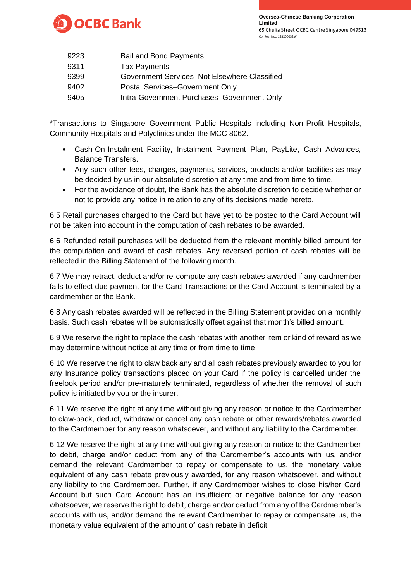

**Oversea-Chinese Banking Corporation Limited** Co. Reg. No.: 193200032W

| 9223 | <b>Bail and Bond Payments</b>                |
|------|----------------------------------------------|
| 9311 | <b>Tax Payments</b>                          |
| 9399 | Government Services-Not Elsewhere Classified |
| 9402 | Postal Services-Government Only              |
| 9405 | Intra-Government Purchases-Government Only   |

\*Transactions to Singapore Government Public Hospitals including Non-Profit Hospitals, Community Hospitals and Polyclinics under the MCC 8062.

- Cash-On-Instalment Facility, Instalment Payment Plan, PayLite, Cash Advances, Balance Transfers.
- Any such other fees, charges, payments, services, products and/or facilities as may be decided by us in our absolute discretion at any time and from time to time.
- For the avoidance of doubt, the Bank has the absolute discretion to decide whether or not to provide any notice in relation to any of its decisions made hereto.

6.5 Retail purchases charged to the Card but have yet to be posted to the Card Account will not be taken into account in the computation of cash rebates to be awarded.

6.6 Refunded retail purchases will be deducted from the relevant monthly billed amount for the computation and award of cash rebates. Any reversed portion of cash rebates will be reflected in the Billing Statement of the following month.

6.7 We may retract, deduct and/or re-compute any cash rebates awarded if any cardmember fails to effect due payment for the Card Transactions or the Card Account is terminated by a cardmember or the Bank.

6.8 Any cash rebates awarded will be reflected in the Billing Statement provided on a monthly basis. Such cash rebates will be automatically offset against that month's billed amount.

6.9 We reserve the right to replace the cash rebates with another item or kind of reward as we may determine without notice at any time or from time to time.

6.10 We reserve the right to claw back any and all cash rebates previously awarded to you for any Insurance policy transactions placed on your Card if the policy is cancelled under the freelook period and/or pre-maturely terminated, regardless of whether the removal of such policy is initiated by you or the insurer.

6.11 We reserve the right at any time without giving any reason or notice to the Cardmember to claw-back, deduct, withdraw or cancel any cash rebate or other rewards/rebates awarded to the Cardmember for any reason whatsoever, and without any liability to the Cardmember.

6.12 We reserve the right at any time without giving any reason or notice to the Cardmember to debit, charge and/or deduct from any of the Cardmember's accounts with us, and/or demand the relevant Cardmember to repay or compensate to us, the monetary value equivalent of any cash rebate previously awarded, for any reason whatsoever, and without any liability to the Cardmember. Further, if any Cardmember wishes to close his/her Card Account but such Card Account has an insufficient or negative balance for any reason whatsoever, we reserve the right to debit, charge and/or deduct from any of the Cardmember's accounts with us, and/or demand the relevant Cardmember to repay or compensate us, the monetary value equivalent of the amount of cash rebate in deficit.